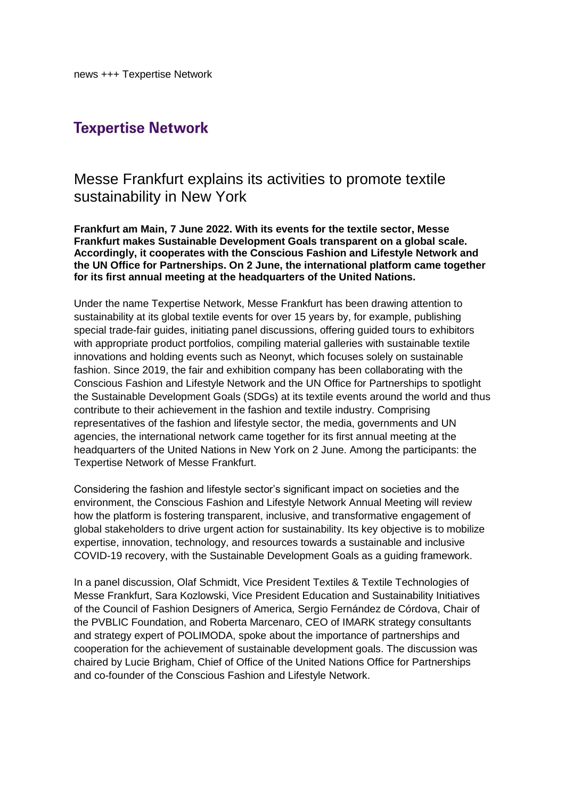## **Texpertise Network**

## Messe Frankfurt explains its activities to promote textile sustainability in New York

**Frankfurt am Main, 7 June 2022. With its events for the textile sector, Messe Frankfurt makes Sustainable Development Goals transparent on a global scale. Accordingly, it cooperates with the Conscious Fashion and Lifestyle Network and the UN Office for Partnerships. On 2 June, the international platform came together for its first annual meeting at the headquarters of the United Nations.**

Under the name Texpertise Network, Messe Frankfurt has been drawing attention to sustainability at its global textile events for over 15 years by, for example, publishing special trade-fair guides, initiating panel discussions, offering guided tours to exhibitors with appropriate product portfolios, compiling material galleries with sustainable textile innovations and holding events such as Neonyt, which focuses solely on sustainable fashion. Since 2019, the fair and exhibition company has been collaborating with the Conscious Fashion and Lifestyle Network and the UN Office for Partnerships to spotlight the Sustainable Development Goals (SDGs) at its textile events around the world and thus contribute to their achievement in the fashion and textile industry. Comprising representatives of the fashion and lifestyle sector, the media, governments and UN agencies, the international network came together for its first annual meeting at the headquarters of the United Nations in New York on 2 June. Among the participants: the Texpertise Network of Messe Frankfurt.

Considering the fashion and lifestyle sector's significant impact on societies and the environment, the Conscious Fashion and Lifestyle Network Annual Meeting will review how the platform is fostering transparent, inclusive, and transformative engagement of global stakeholders to drive urgent action for sustainability. Its key objective is to mobilize expertise, innovation, technology, and resources towards a sustainable and inclusive COVID-19 recovery, with the Sustainable Development Goals as a guiding framework.

In a panel discussion, Olaf Schmidt, Vice President Textiles & Textile Technologies of Messe Frankfurt, Sara Kozlowski, Vice President Education and Sustainability Initiatives of the Council of Fashion Designers of America, Sergio Fernández de Córdova, Chair of the PVBLIC Foundation, and Roberta Marcenaro, CEO of IMARK strategy consultants and strategy expert of POLIMODA, spoke about the importance of partnerships and cooperation for the achievement of sustainable development goals. The discussion was chaired by Lucie Brigham, Chief of Office of the United Nations Office for Partnerships and co-founder of the Conscious Fashion and Lifestyle Network.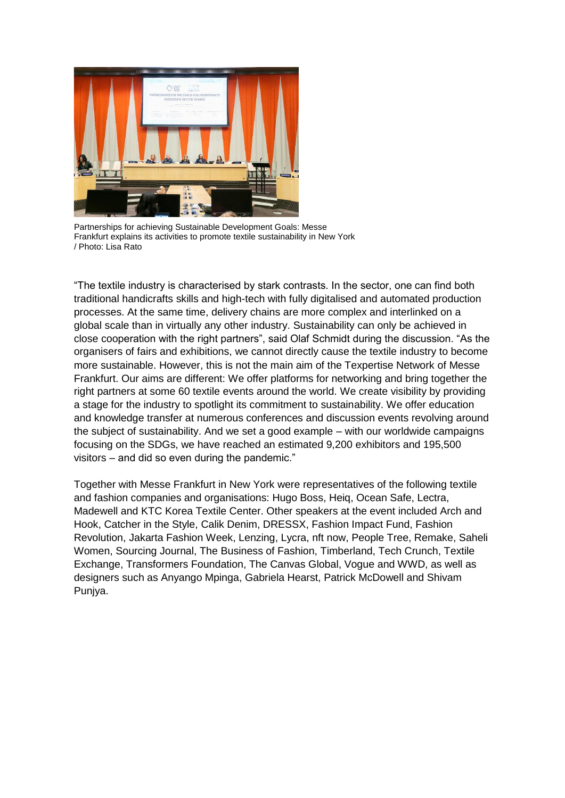

Partnerships for achieving Sustainable Development Goals: Messe Frankfurt explains its activities to promote textile sustainability in New York / Photo: Lisa Rato

"The textile industry is characterised by stark contrasts. In the sector, one can find both traditional handicrafts skills and high-tech with fully digitalised and automated production processes. At the same time, delivery chains are more complex and interlinked on a global scale than in virtually any other industry. Sustainability can only be achieved in close cooperation with the right partners", said Olaf Schmidt during the discussion. "As the organisers of fairs and exhibitions, we cannot directly cause the textile industry to become more sustainable. However, this is not the main aim of the Texpertise Network of Messe Frankfurt. Our aims are different: We offer platforms for networking and bring together the right partners at some 60 textile events around the world. We create visibility by providing a stage for the industry to spotlight its commitment to sustainability. We offer education and knowledge transfer at numerous conferences and discussion events revolving around the subject of sustainability. And we set a good example – with our worldwide campaigns focusing on the SDGs, we have reached an estimated 9,200 exhibitors and 195,500 visitors – and did so even during the pandemic."

Together with Messe Frankfurt in New York were representatives of the following textile and fashion companies and organisations: Hugo Boss, Heiq, Ocean Safe, Lectra, Madewell and KTC Korea Textile Center. Other speakers at the event included Arch and Hook, Catcher in the Style, Calik Denim, DRESSX, Fashion Impact Fund, Fashion Revolution, Jakarta Fashion Week, Lenzing, Lycra, nft now, People Tree, Remake, Saheli Women, Sourcing Journal, The Business of Fashion, Timberland, Tech Crunch, Textile Exchange, Transformers Foundation, The Canvas Global, Vogue and WWD, as well as designers such as Anyango Mpinga, Gabriela Hearst, Patrick McDowell and Shivam Punjya.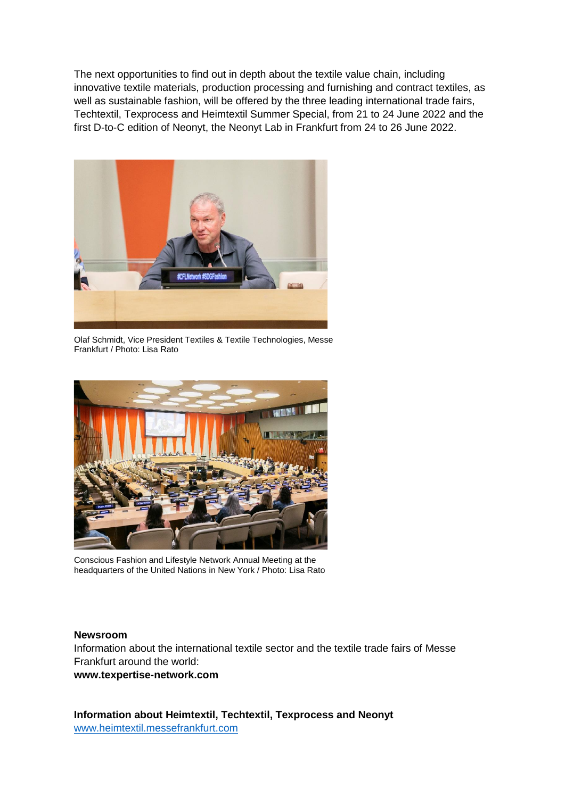The next opportunities to find out in depth about the textile value chain, including innovative textile materials, production processing and furnishing and contract textiles, as well as sustainable fashion, will be offered by the three leading international trade fairs, Techtextil, Texprocess and Heimtextil Summer Special, from 21 to 24 June 2022 and the first D-to-C edition of Neonyt, the Neonyt Lab in Frankfurt from 24 to 26 June 2022.



Olaf Schmidt, Vice President Textiles & Textile Technologies, Messe Frankfurt / Photo: Lisa Rato



Conscious Fashion and Lifestyle Network Annual Meeting at the headquarters of the United Nations in New York / Photo: Lisa Rato

## **Newsroom**

Information about the international textile sector and the textile trade fairs of Messe Frankfurt around the world: **[www.texpertise-network.com](http://www.texpertise-network.com/)**

**Information about Heimtextil, Techtextil, Texprocess and Neonyt** [www.heimtextil.messefrankfurt.com](http://www.heimtextil.messefrankfurt.com/)